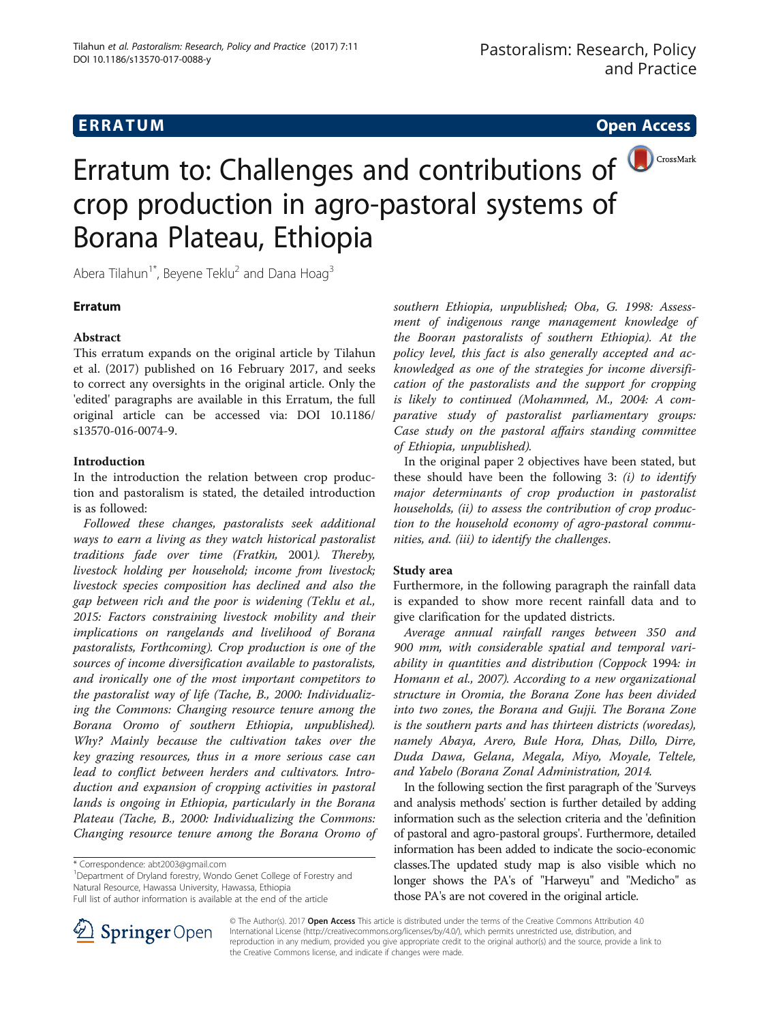# Erratum to: Challenges and contributions of **D**CrossMark crop production in agro-pastoral systems of Borana Plateau, Ethiopia

Abera Tilahun<sup>1\*</sup>, Beyene Teklu<sup>2</sup> and Dana Hoag<sup>3</sup>

# **Erratum**

## Abstract

This erratum expands on the original article by Tilahun et al. ([2017](#page-2-0)) published on 16 February 2017, and seeks to correct any oversights in the original article. Only the 'edited' paragraphs are available in this Erratum, the full original article can be accessed via: DOI [10.1186/](http://dx.doi.org/10.1186/s13570-016-0074-9) [s13570-016-0074-9](http://dx.doi.org/10.1186/s13570-016-0074-9).

## Introduction

In the introduction the relation between crop production and pastoralism is stated, the detailed introduction is as followed:

Followed these changes, pastoralists seek additional ways to earn a living as they watch historical pastoralist traditions fade over time (Fratkin, [2001](#page-2-0)). Thereby, livestock holding per household; income from livestock; livestock species composition has declined and also the gap between rich and the poor is widening (Teklu et al., 2015: Factors constraining livestock mobility and their implications on rangelands and livelihood of Borana pastoralists, Forthcoming). Crop production is one of the sources of income diversification available to pastoralists, and ironically one of the most important competitors to the pastoralist way of life (Tache, B., 2000: Individualizing the Commons: Changing resource tenure among the Borana Oromo of southern Ethiopia, unpublished). Why? Mainly because the cultivation takes over the key grazing resources, thus in a more serious case can lead to conflict between herders and cultivators. Introduction and expansion of cropping activities in pastoral lands is ongoing in Ethiopia, particularly in the Borana Plateau (Tache, B., 2000: Individualizing the Commons: Changing resource tenure among the Borana Oromo of

<sup>1</sup>Department of Dryland forestry, Wondo Genet College of Forestry and Natural Resource, Hawassa University, Hawassa, Ethiopia

Full list of author information is available at the end of the article



southern Ethiopia, unpublished; Oba, G. 1998: Assessment of indigenous range management knowledge of the Booran pastoralists of southern Ethiopia). At the policy level, this fact is also generally accepted and acknowledged as one of the strategies for income diversification of the pastoralists and the support for cropping is likely to continued (Mohammed, M., 2004: A comparative study of pastoralist parliamentary groups: Case study on the pastoral affairs standing committee of Ethiopia, unpublished).

In the original paper 2 objectives have been stated, but these should have been the following  $3: (i)$  to identify major determinants of crop production in pastoralist households, (ii) to assess the contribution of crop production to the household economy of agro-pastoral communities, and. (iii) to identify the challenges.

## Study area

Furthermore, in the following paragraph the rainfall data is expanded to show more recent rainfall data and to give clarification for the updated districts.

Average annual rainfall ranges between 350 and 900 mm, with considerable spatial and temporal variability in quantities and distribution (Coppock [1994](#page-2-0): in Homann et al., 2007). According to a new organizational structure in Oromia, the Borana Zone has been divided into two zones, the Borana and Gujji. The Borana Zone is the southern parts and has thirteen districts (woredas), namely Abaya, Arero, Bule Hora, Dhas, Dillo, Dirre, Duda Dawa, Gelana, Megala, Miyo, Moyale, Teltele, and Yabelo (Borana Zonal Administration, 2014.

In the following section the first paragraph of the 'Surveys and analysis methods' section is further detailed by adding information such as the selection criteria and the 'definition of pastoral and agro-pastoral groups'. Furthermore, detailed information has been added to indicate the socio-economic classes.The updated study map is also visible which no longer shows the PA's of "Harweyu" and "Medicho" as those PA's are not covered in the original article.

© The Author(s). 2017 Open Access This article is distributed under the terms of the Creative Commons Attribution 4.0 International License ([http://creativecommons.org/licenses/by/4.0/\)](http://creativecommons.org/licenses/by/4.0/), which permits unrestricted use, distribution, and reproduction in any medium, provided you give appropriate credit to the original author(s) and the source, provide a link to the Creative Commons license, and indicate if changes were made.

<sup>\*</sup> Correspondence: [abt2003@gmail.com](mailto:abt2003@gmail.com) <sup>1</sup>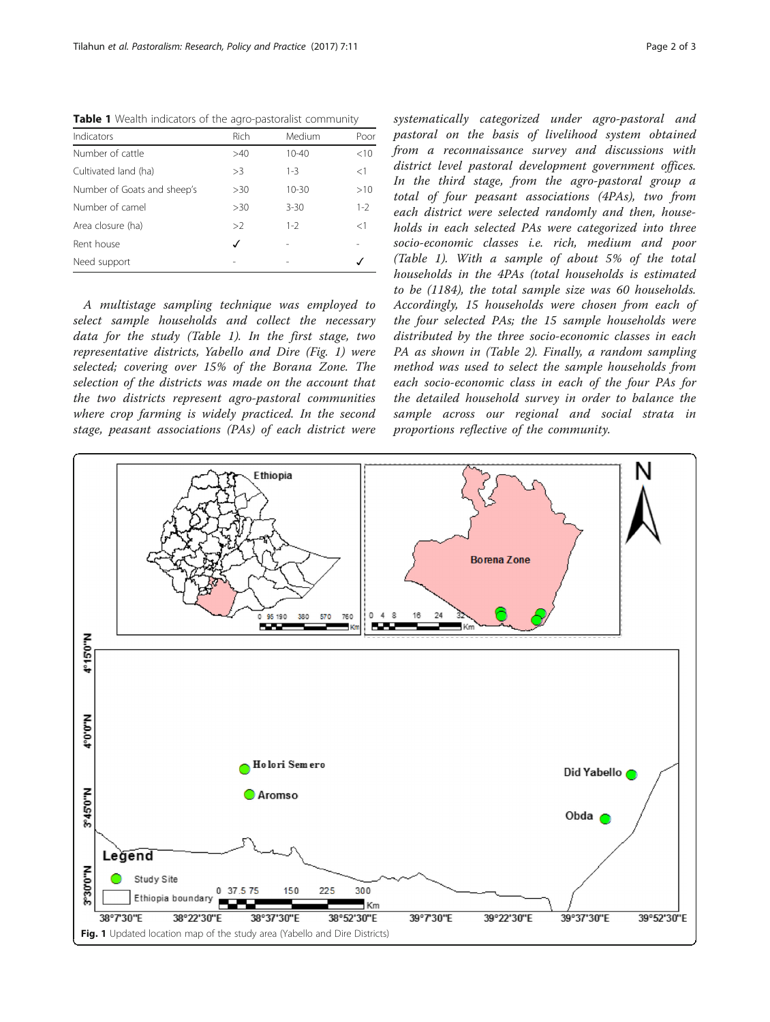Table 1 Wealth indicators of the agro-pastoralist community

| Indicators                  | Rich | Medium    | Poor    |
|-----------------------------|------|-----------|---------|
| Number of cattle            | >40  | $10 - 40$ | < 10    |
| Cultivated land (ha)        | >3   | $1 - 3$   | <1      |
| Number of Goats and sheep's | >30  | $10 - 30$ | >10     |
| Number of camel             | >30  | $3 - 30$  | $1 - 2$ |
| Area closure (ha)           | >2   | $1 - 2$   | <1      |
| Rent house                  | √    |           |         |
| Need support                |      |           |         |

A multistage sampling technique was employed to select sample households and collect the necessary data for the study (Table 1). In the first stage, two representative districts, Yabello and Dire (Fig. 1) were selected; covering over 15% of the Borana Zone. The selection of the districts was made on the account that the two districts represent agro-pastoral communities where crop farming is widely practiced. In the second stage, peasant associations (PAs) of each district were systematically categorized under agro-pastoral and pastoral on the basis of livelihood system obtained from a reconnaissance survey and discussions with district level pastoral development government offices. In the third stage, from the agro-pastoral group a total of four peasant associations (4PAs), two from each district were selected randomly and then, households in each selected PAs were categorized into three socio-economic classes i.e. rich, medium and poor (Table 1). With a sample of about 5% of the total households in the 4PAs (total households is estimated to be (1184), the total sample size was 60 households. Accordingly, 15 households were chosen from each of the four selected PAs; the 15 sample households were distributed by the three socio-economic classes in each PA as shown in (Table 2). Finally, a random sampling method was used to select the sample households from each socio-economic class in each of the four PAs for the detailed household survey in order to balance the sample across our regional and social strata in proportions reflective of the community.